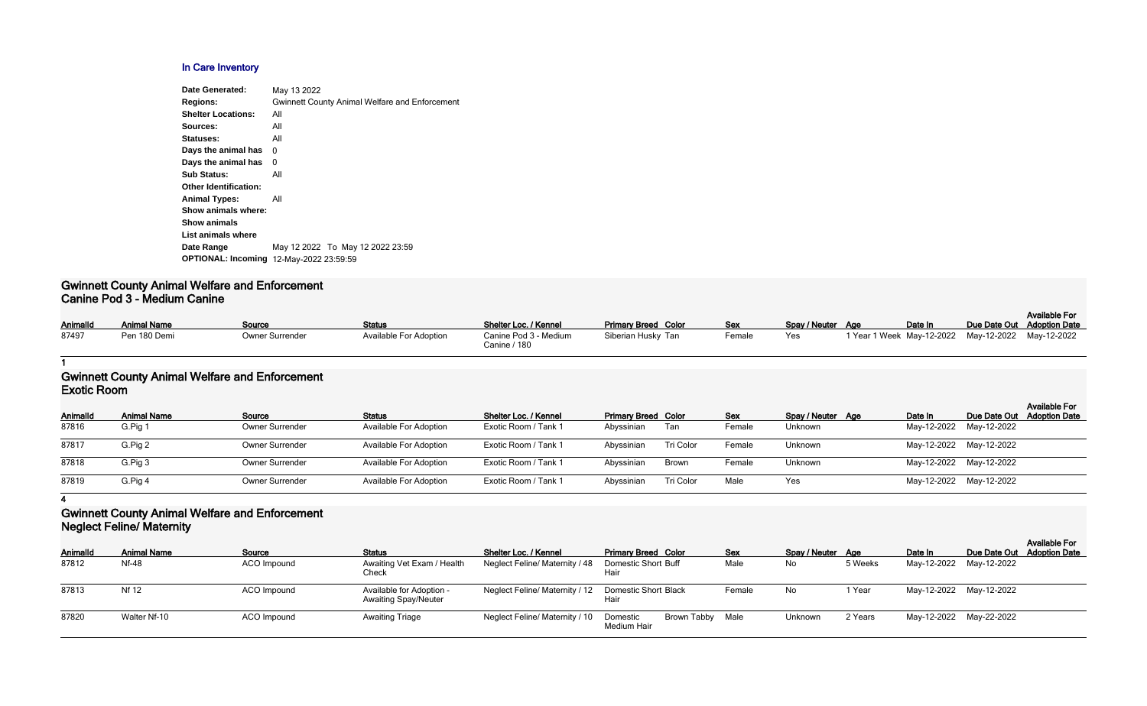# **In Care Inventory**

| Date Generated:                                | May 13 2022                                           |
|------------------------------------------------|-------------------------------------------------------|
| <b>Regions:</b>                                | <b>Gwinnett County Animal Welfare and Enforcement</b> |
| <b>Shelter Locations:</b>                      | All                                                   |
| Sources:                                       | All                                                   |
| Statuses:                                      | All                                                   |
| Days the animal has                            | 0                                                     |
| Days the animal has                            | 0                                                     |
| <b>Sub Status:</b>                             | All                                                   |
| <b>Other Identification:</b>                   |                                                       |
| <b>Animal Types:</b>                           | All                                                   |
| Show animals where:                            |                                                       |
| <b>Show animals</b>                            |                                                       |
| List animals where                             |                                                       |
| Date Range                                     | May 12 2022 To May 12 2022 23:59                      |
| <b>OPTIONAL: Incoming 12-May-2022 23:59:59</b> |                                                       |
|                                                |                                                       |

#### **Gwinnett County Animal Welfare and Enforcement Canine Pod 3 - Medium Canine**

|          |                    |                 |                               |                                       |                            |            |                   |  |         |  | <b>Available For</b>       |
|----------|--------------------|-----------------|-------------------------------|---------------------------------------|----------------------------|------------|-------------------|--|---------|--|----------------------------|
| AnimalId | <b>Animal Name</b> | Source          | <b>Status</b>                 | Shelter Loc. / Kennel                 | <b>Primary Breed Color</b> | <b>Sex</b> | Spay / Neuter Age |  | Date In |  | Due Date Out Adoption Date |
| 87497    | Pen 180 Demi       | Owner Surrender | <b>Available For Adoption</b> | Canine Pod 3 - Medium<br>Canine / 180 | Siberian Husky Tan         | Female     | Yes               |  |         |  |                            |

#### **1**

### **Gwinnett County Animal Welfare and Enforcement Exotic Room**

| --------------  |                    |                        |                               |                       |                            |           |            |                   |                         |                            |                      |
|-----------------|--------------------|------------------------|-------------------------------|-----------------------|----------------------------|-----------|------------|-------------------|-------------------------|----------------------------|----------------------|
| <b>AnimalId</b> | <b>Animal Name</b> | Source                 | <b>Status</b>                 | Shelter Loc. / Kennel | <b>Primary Breed Color</b> |           | <b>Sex</b> | Spay / Neuter Age | Date In                 | Due Date Out Adoption Date | <b>Available For</b> |
| 87816           | G.Pig 1            | <b>Owner Surrender</b> | <b>Available For Adoption</b> | Exotic Room / Tank 1  | Abyssinian                 | Tan       | Female     | Unknown           | May-12-2022 May-12-2022 |                            |                      |
| 87817           | G.Pig 2            | <b>Owner Surrender</b> | <b>Available For Adoption</b> | Exotic Room / Tank 1  | Abyssinian                 | Tri Color | Female     | Unknown           | May-12-2022 May-12-2022 |                            |                      |
| 87818           | G.Pig 3            | <b>Owner Surrender</b> | <b>Available For Adoption</b> | Exotic Room / Tank 1  | Abyssinian                 | Brown     | Female     | Unknown           | May-12-2022 May-12-2022 |                            |                      |
| 87819           | G.Pig 4            | <b>Owner Surrender</b> | <b>Available For Adoption</b> | Exotic Room / Tank 1  | Abyssinian                 | Tri Color | Male       | Yes               | May-12-2022 May-12-2022 |                            |                      |
|                 |                    |                        |                               |                       |                            |           |            |                   |                         |                            |                      |

**4**

## **Gwinnett County Animal Welfare and Enforcement Neglect Feline/ Maternity**

| <b>INGUIGOLI GILIGI MIGIGITIILY</b> |                    |             |                                                         |                                |                                             |            |                   |         |                         |                            |                      |
|-------------------------------------|--------------------|-------------|---------------------------------------------------------|--------------------------------|---------------------------------------------|------------|-------------------|---------|-------------------------|----------------------------|----------------------|
| AnimalId                            | <b>Animal Name</b> | Source      | <b>Status</b>                                           | Shelter Loc. / Kennel          | <b>Primary Breed Color</b>                  | <b>Sex</b> | Spay / Neuter Age |         | Date In                 | Due Date Out Adoption Date | <b>Available For</b> |
| 87812                               | Nf-48              | ACO Impound | Awaiting Vet Exam / Health<br>Check                     | Neglect Feline/ Maternity / 48 | <b>Domestic Short Buff</b><br>Hair          | Male       | No.               | 5 Weeks | May-12-2022 May-12-2022 |                            |                      |
| 87813                               | <b>Nf 12</b>       | ACO Impound | Available for Adoption -<br><b>Awaiting Spay/Neuter</b> | Neglect Feline/ Maternity / 12 | <b>Domestic Short Black</b><br>Hair         | Female     | No                | Year    | May-12-2022 May-12-2022 |                            |                      |
| 87820                               | Walter Nf-10       | ACO Impound | <b>Awaiting Triage</b>                                  | Neglect Feline/ Maternity / 10 | Brown Tabby Male<br>Domestic<br>Medium Hair |            | Unknown           | 2 Years | May-12-2022 May-22-2022 |                            |                      |